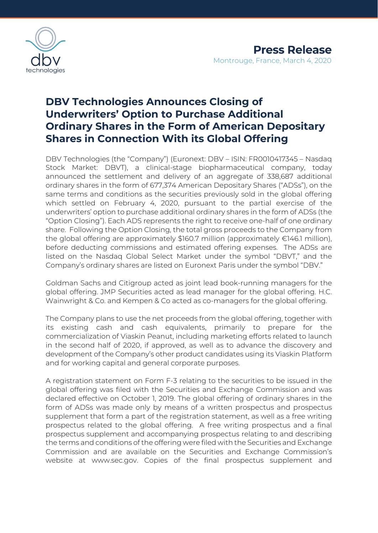

# **DBV Technologies Announces Closing of Underwriters' Option to Purchase Additional Ordinary Shares in the Form of American Depositary Shares in Connection With its Global Offering**

DBV Technologies (the "Company") (Euronext: DBV – ISIN: FR0010417345 – Nasdaq Stock Market: DBVT), a clinical-stage biopharmaceutical company, today announced the settlement and delivery of an aggregate of 338,687 additional ordinary shares in the form of 677,374 American Depositary Shares ("ADSs"), on the same terms and conditions as the securities previously sold in the global offering which settled on February 4, 2020, pursuant to the partial exercise of the underwriters' option to purchase additional ordinary shares in the form of ADSs (the "Option Closing"). Each ADS represents the right to receive one-half of one ordinary share. Following the Option Closing, the total gross proceeds to the Company from the global offering are approximately \$160.7 million (approximately €146.1 million), before deducting commissions and estimated offering expenses. The ADSs are listed on the Nasdaq Global Select Market under the symbol "DBVT," and the Company's ordinary shares are listed on Euronext Paris under the symbol "DBV."

Goldman Sachs and Citigroup acted as joint lead book-running managers for the global offering. JMP Securities acted as lead manager for the global offering. H.C. Wainwright & Co. and Kempen & Co acted as co-managers for the global offering.

The Company plans to use the net proceeds from the global offering, together with its existing cash and cash equivalents, primarily to prepare for the commercialization of Viaskin Peanut, including marketing efforts related to launch in the second half of 2020, if approved, as well as to advance the discovery and development of the Company's other product candidates using its Viaskin Platform and for working capital and general corporate purposes.

A registration statement on Form F-3 relating to the securities to be issued in the global offering was filed with the Securities and Exchange Commission and was declared effective on October 1, 2019. The global offering of ordinary shares in the form of ADSs was made only by means of a written prospectus and prospectus supplement that form a part of the registration statement, as well as a free writing prospectus related to the global offering. A free writing prospectus and a final prospectus supplement and accompanying prospectus relating to and describing the terms and conditions of the offering were filed with the Securities and Exchange Commission and are available on the Securities and Exchange Commission's website at www.sec.gov. Copies of the final prospectus supplement and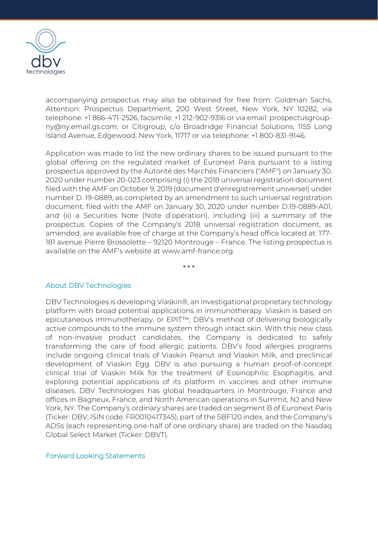

accompanying prospectus may also be obtained for free from: Goldman Sachs, Attention: Prospectus Department, 200 West Street, New York, NY 10282, via telephone: +1 866-471-2526, facsimile: +1 212-902-9316 or via email: prospectusgroupny@ny.email.gs.com; or Citigroup, c/o Broadridge Financial Solutions, 1155 Long Island Avenue, Edgewood, New York, 11717 or via telephone: +1 800-831-9146.

Application was made to list the new ordinary shares to be issued pursuant to the global offering on the regulated market of Euronext Paris pursuant to a listing prospectus approved by the Autorité des Marchés Financiers ("AMF") on January 30, 2020 under number 20-023 comprising (i) the 2018 universal registration document filed with the AMF on October 9, 2019 (document d'enregistrement universel) under number D. 19-0889, as completed by an amendment to such universal registration document, filed with the AMF on January 30, 2020 under number D.19-0889-A01, and (ii) a Securities Note (Note d'opération), including (iii) a summary of the prospectus. Copies of the Company's 2018 universal registration document, as amended, are available free of charge at the Company's head office located at: 177- 181 avenue Pierre Brossolette – 92120 Montrouge – France. The listing prospectus is available on the AMF's website at www.amf-france.org.

\* \* \*

## About DBV Technologies

DBV Technologies is developing Viaskin®, an investigational proprietary technology platform with broad potential applications in immunotherapy. Viaskin is based on epicutaneous immunotherapy, or EPIT™, DBV's method of delivering biologically active compounds to the immune system through intact skin. With this new class of non-invasive product candidates, the Company is dedicated to safely transforming the care of food allergic patients. DBV's food allergies programs include ongoing clinical trials of Viaskin Peanut and Viaskin Milk, and preclinical development of Viaskin Egg. DBV is also pursuing a human proof-of-concept clinical trial of Viaskin Milk for the treatment of Eosinophilic Esophagitis, and exploring potential applications of its platform in vaccines and other immune diseases. DBV Technologies has global headquarters in Montrouge, France and offices in Bagneux, France, and North American operations in Summit, NJ and New York, NY. The Company's ordinary shares are traded on segment B of Euronext Paris (Ticker: DBV, ISIN code: FR0010417345), part of the SBF120 index, and the Company's ADSs (each representing one-half of one ordinary share) are traded on the Nasdaq Global Select Market (Ticker: DBVT).

## Forward Looking Statements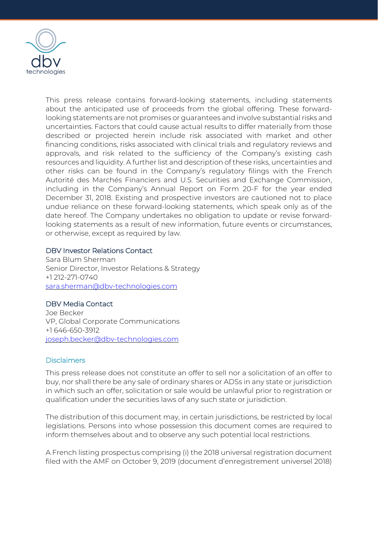

This press release contains forward-looking statements, including statements about the anticipated use of proceeds from the global offering. These forwardlooking statements are not promises or guarantees and involve substantial risks and uncertainties. Factors that could cause actual results to differ materially from those described or projected herein include risk associated with market and other financing conditions, risks associated with clinical trials and regulatory reviews and approvals, and risk related to the sufficiency of the Company's existing cash resources and liquidity. A further list and description of these risks, uncertainties and other risks can be found in the Company's regulatory filings with the French Autorité des Marchés Financiers and U.S. Securities and Exchange Commission, including in the Company's Annual Report on Form 20-F for the year ended December 31, 2018. Existing and prospective investors are cautioned not to place undue reliance on these forward-looking statements, which speak only as of the date hereof. The Company undertakes no obligation to update or revise forwardlooking statements as a result of new information, future events or circumstances, or otherwise, except as required by law.

#### DBV Investor Relations Contact

Sara Blum Sherman Senior Director, Investor Relations & Strategy +1 212-271-0740 [sara.sherman@dbv-technologies.com](mailto:sara.sherman@dbv-technologies.com)

## DBV Media Contact

Joe Becker VP, Global Corporate Communications +1 646-650-3912 [joseph.becker@dbv-technologies.com](mailto:joseph.becker@dbv-technologies.com)

## **Disclaimers**

This press release does not constitute an offer to sell nor a solicitation of an offer to buy, nor shall there be any sale of ordinary shares or ADSs in any state or jurisdiction in which such an offer, solicitation or sale would be unlawful prior to registration or qualification under the securities laws of any such state or jurisdiction.

The distribution of this document may, in certain jurisdictions, be restricted by local legislations. Persons into whose possession this document comes are required to inform themselves about and to observe any such potential local restrictions.

A French listing prospectus comprising (i) the 2018 universal registration document filed with the AMF on October 9, 2019 (document d'enregistrement universel 2018)